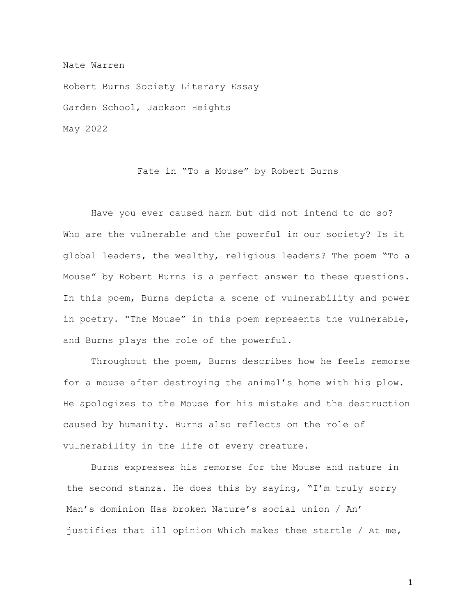Nate Warren

Robert Burns Society Literary Essay Garden School, Jackson Heights May 2022

Fate in "To a Mouse" by Robert Burns

Have you ever caused harm but did not intend to do so? Who are the vulnerable and the powerful in our society? Is it global leaders, the wealthy, religious leaders? The poem "To a Mouse" by Robert Burns is a perfect answer to these questions. In this poem, Burns depicts a scene of vulnerability and power in poetry. "The Mouse" in this poem represents the vulnerable, and Burns plays the role of the powerful.

Throughout the poem, Burns describes how he feels remorse for a mouse after destroying the animal's home with his plow. He apologizes to the Mouse for his mistake and the destruction caused by humanity. Burns also reflects on the role of vulnerability in the life of every creature.

Burns expresses his remorse for the Mouse and nature in the second stanza. He does this by saying, "I'm truly sorry Man's dominion Has broken Nature's social union / An' justifies that ill opinion Which makes thee startle / At me,

1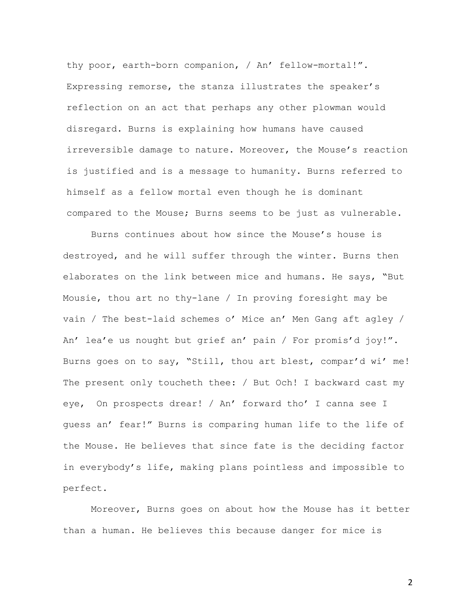thy poor, earth-born companion, / An' fellow-mortal!". Expressing remorse, the stanza illustrates the speaker's reflection on an act that perhaps any other plowman would disregard. Burns is explaining how humans have caused irreversible damage to nature. Moreover, the Mouse's reaction is justified and is a message to humanity. Burns referred to himself as a fellow mortal even though he is dominant compared to the Mouse; Burns seems to be just as vulnerable.

Burns continues about how since the Mouse's house is destroyed, and he will suffer through the winter. Burns then elaborates on the link between mice and humans. He says, "But Mousie, thou art no thy-lane / In proving foresight may be vain / The best-laid schemes o' Mice an' Men Gang aft agley / An' lea'e us nought but grief an' pain / For promis'd joy!". Burns goes on to say, "Still, thou art blest, compar'd wi' me! The present only toucheth thee: / But Och! I backward cast my eye, On prospects drear! / An' forward tho' I canna see I guess an' fear!" Burns is comparing human life to the life of the Mouse. He believes that since fate is the deciding factor in everybody's life, making plans pointless and impossible to perfect.

Moreover, Burns goes on about how the Mouse has it better than a human. He believes this because danger for mice is

2